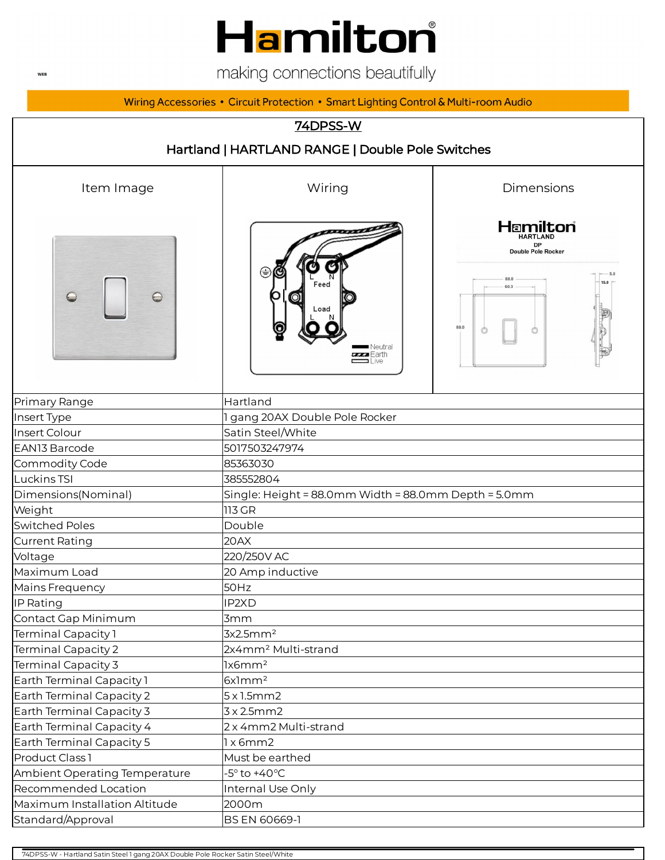## Hamilton

making connections beautifully

Wiring Accessories • Circuit Protection • Smart Lighting Control & Multi-room Audio

|                                                  | <b>74DPSS-W</b>                                                 |                                                                       |  |  |
|--------------------------------------------------|-----------------------------------------------------------------|-----------------------------------------------------------------------|--|--|
| Hartland   HARTLAND RANGE   Double Pole Switches |                                                                 |                                                                       |  |  |
| Item Image                                       | Wiring                                                          | Dimensions                                                            |  |  |
|                                                  | ,,,,,,,                                                         | Hamilton<br><b>HARTLAND</b><br><b>DP</b><br><b>Double Pole Rocker</b> |  |  |
|                                                  | Feed<br>Load<br>■ Neutral<br><b>www.E</b> arth<br>$\equiv$ Live | 88.0<br>60.3<br>88.0                                                  |  |  |
| Primary Range                                    | Hartland                                                        |                                                                       |  |  |
| Insert Type                                      | 1 gang 20AX Double Pole Rocker                                  |                                                                       |  |  |
| Insert Colour                                    | Satin Steel/White                                               |                                                                       |  |  |
| EAN13 Barcode                                    | 5017503247974                                                   |                                                                       |  |  |
| Commodity Code                                   | 85363030                                                        |                                                                       |  |  |
| Luckins TSI                                      | 385552804                                                       |                                                                       |  |  |
| Dimensions(Nominal)                              | Single: Height = 88.0mm Width = 88.0mm Depth = 5.0mm            |                                                                       |  |  |
| Weight                                           | 113 GR                                                          |                                                                       |  |  |
| <b>Switched Poles</b>                            | Double                                                          |                                                                       |  |  |
| <b>Current Rating</b>                            | 20AX                                                            |                                                                       |  |  |
| Voltage                                          | 220/250V AC                                                     |                                                                       |  |  |
| Maximum Load                                     | 20 Amp inductive                                                |                                                                       |  |  |
| Mains Frequency                                  | 50Hz                                                            |                                                                       |  |  |
| IP Rating                                        | IP2XD                                                           |                                                                       |  |  |
| Contact Gap Minimum                              | 3mm                                                             |                                                                       |  |  |
| Terminal Capacity 1                              | 3x2.5mm <sup>2</sup>                                            |                                                                       |  |  |
| <b>Terminal Capacity 2</b>                       | 2x4mm <sup>2</sup> Multi-strand                                 |                                                                       |  |  |
| Terminal Capacity 3                              | lx6mm <sup>2</sup>                                              |                                                                       |  |  |
| Earth Terminal Capacity 1                        | $6x$ ] $mm2$                                                    |                                                                       |  |  |
| Earth Terminal Capacity 2                        | 5x1.5mm2                                                        |                                                                       |  |  |
| Earth Terminal Capacity 3                        | 3x2.5mm2                                                        |                                                                       |  |  |
| Earth Terminal Capacity 4                        | 2 x 4mm2 Multi-strand                                           |                                                                       |  |  |
| Earth Terminal Capacity 5                        | 1x6mm2                                                          |                                                                       |  |  |
| Product Class 1                                  | Must be earthed                                                 |                                                                       |  |  |
| Ambient Operating Temperature                    | $-5^\circ$ to $+40^\circ C$                                     |                                                                       |  |  |
| Recommended Location                             | Internal Use Only                                               |                                                                       |  |  |
| Maximum Installation Altitude                    | 2000m                                                           |                                                                       |  |  |
| Standard/Approval                                | BS EN 60669-1                                                   |                                                                       |  |  |

74DPSS-W - Hartland Satin Steel 1 gang 20AX Double Pole Rocker Satin Steel/White

**WEB**